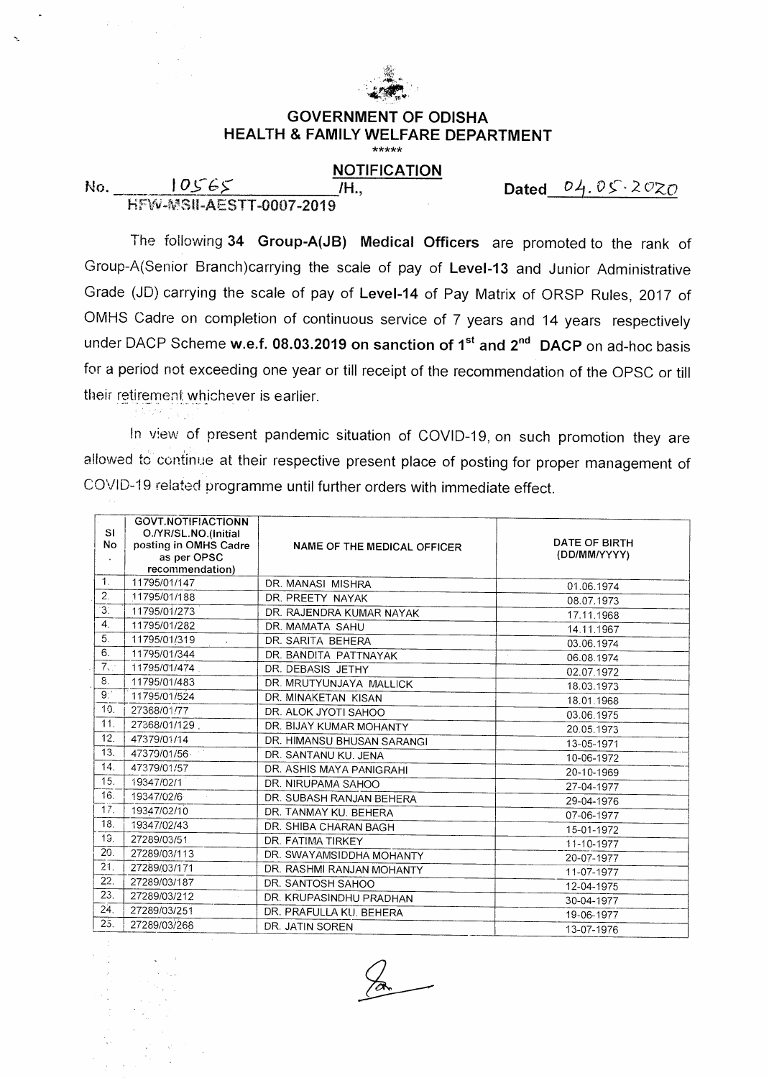

### **GOVERNMENT OF ODISHA HEALTH & FAMILY WELFARE DEPARTMENT**  \*\*\*\*\*

## **NOTIFICATION**

FilIN-VS11-AESTT-0007-2019

**No.** 10565 M., Dated 04.05.2020

The following **34 Group-A(JB) Medical Officers** are promoted to the rank of Group-A(Senior Branch)carrying the scale of pay of **Level-13** and Junior Administrative Grade (JD) carrying the scale of pay of **Level-14** of Pay Matrix of ORSP Rules, 2017 of OMHS Cadre on completion of continuous service of 7 years and 14 years respectively under DACP Scheme w.e.f. 08.03.2019 on sanction of 1<sup>st</sup> and 2<sup>nd</sup> DACP on ad-hoc basis for a period not exceeding one year or till receipt of the recommendation of the OPSC or till their retirement whichever is earlier.

In view of present pandemic situation of COVID-19, on such promotion they are allowed to continue at their respective present place of posting for proper management of COVID-19 related programme until further orders with immediate effect.

|                  | <b>GOVT.NOTIFIACTIONN</b>            |                             |                      |
|------------------|--------------------------------------|-----------------------------|----------------------|
| <b>SI</b>        | O./YR/SL.NO.(Initial                 |                             | DATE OF BIRTH        |
| No               | posting in OMHS Cadre<br>as per OPSC | NAME OF THE MEDICAL OFFICER | (DD/MM/YYYY)         |
|                  | recommendation)                      |                             |                      |
| 1 <sub>1</sub>   | 11795/01/147                         | DR. MANASI MISHRA           | 01.06.1974           |
| $\overline{2}$ . | 11795/01/188                         | DR. PREETY NAYAK            |                      |
| 3.               | 11795/01/273                         | DR. RAJENDRA KUMAR NAYAK    | 08.07.1973           |
| $\overline{4}$ . | 11795/01/282                         | DR. MAMATA SAHU             | 17.11.1968           |
| 5.               | 11795/01/319                         | DR. SARITA BEHERA           | 14.11.1967           |
| 6.               | 11795/01/344                         |                             | 03.06.1974           |
| 7,               | 11795/01/474                         | DR. BANDITA PATTNAYAK       | $\sim$<br>06.08.1974 |
| 8.               |                                      | DR. DEBASIS JETHY           | 02.07.1972           |
| 9:               | 11795/01/483                         | DR. MRUTYUNJAYA MALLICK     | 18.03.1973           |
|                  | 11795/01/524                         | DR. MINAKETAN KISAN         | 18.01.1968           |
| 10.              | 27368/01/77                          | DR. ALOK JYOTI SAHOO        | 03.06.1975           |
| 11.              | 27368/01/129                         | DR. BIJAY KUMAR MOHANTY     | 20.05.1973           |
| 12.              | 47379/01/14                          | DR. HIMANSU BHUSAN SARANGI  | 13-05-1971           |
| 13.              | 47379/01/56                          | DR. SANTANU KU. JENA        | 10-06-1972           |
| 14.              | 47379/01/57                          | DR. ASHIS MAYA PANIGRAHI    | 20-10-1969           |
| 15.              | 19347/02/1                           | DR. NIRUPAMA SAHOO          | 27-04-1977           |
| 16.              | 19347/02/6                           | DR. SUBASH RANJAN BEHERA    | 29-04-1976           |
| 17.              | 19347/02/10                          | DR. TANMAY KU, BEHFRA       | 07-06-1977           |
| 18.              | 19347/02/43                          | DR. SHIBA CHARAN BAGH       | 15-01-1972           |
| 19.              | 27289/03/51                          | DR. FATIMA TIRKEY           | 11-10-1977           |
| 20.              | 27289/03/113                         | DR. SWAYAMSIDDHA MOHANTY    | 20-07-1977           |
| 21.              | 27289/03/171                         | DR. RASHMI RANJAN MOHANTY   | 11-07-1977           |
| 22.              | 27289/03/187                         | DR. SANTOSH SAHOO           | 12-04-1975           |
| 23.              | 27289/03/212                         | DR. KRUPASINDHU PRADHAN     | 30-04-1977           |
| 24.              | 27289/03/251                         | DR. PRAFULLA KU. BEHERA     | 19-06-1977           |
| 25.              | 27289/03/268                         | DR. JATIN SOREN             | 13-07-1976           |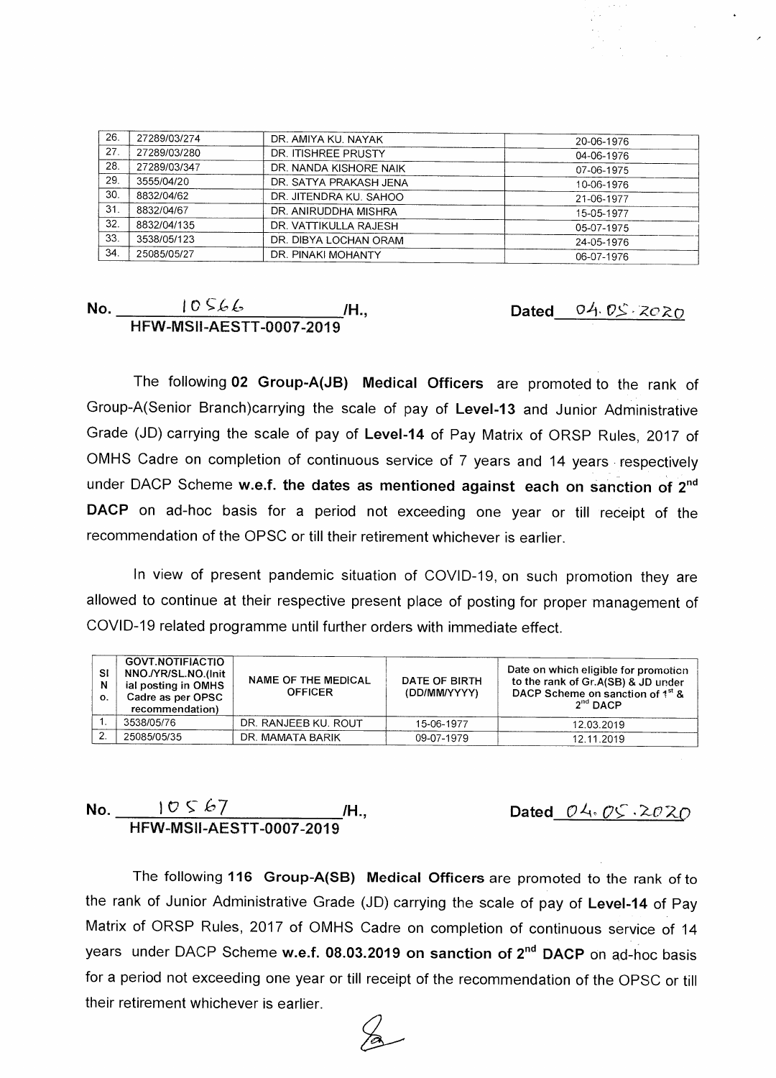| 26. | 27289/03/274 | DR. AMIYA KU, NAYAK    | 20-06-1976 |
|-----|--------------|------------------------|------------|
| 27. | 27289/03/280 | DR. ITISHREE PRUSTY    | 04-06-1976 |
| 28. | 27289/03/347 | DR. NANDA KISHORE NAIK | 07-06-1975 |
| 29. | 3555/04/20   | DR. SATYA PRAKASH JENA | 10-06-1976 |
| 30. | 8832/04/62   | DR. JITENDRA KU. SAHOO | 21-06-1977 |
| 31  | 8832/04/67   | DR. ANIRUDDHA MISHRA   | 15-05-1977 |
| 32. | 8832/04/135  | DR. VATTIKULLA RAJESH  | 05-07-1975 |
| 33. | 3538/05/123  | DR. DIBYA LOCHAN ORAM  | 24-05-1976 |
| 34. | 25085/05/27  | DR. PINAKI MOHANTY     | 06-07-1976 |

### **No.** <u>**I**OS66 *M*., </u> **HFW-MSII-AESTT-0007-2019 Dated** 04.05.2020

The following **02 Group-A(JB) Medical Officers** are promoted to the rank of Group-A(Senior Branch)carrying the scale of pay of **Level-13** and Junior Administrative Grade (JD) carrying the scale of pay of **Level-14** of Pay Matrix of ORSP Rules, 2017 of OMHS Cadre on completion of continuous service of 7 years and 14 years - respectively under DACP Scheme **w.e.f. the dates as mentioned against each on sanction of 2nd DACP** on ad-hoc basis for a period not exceeding one year or till receipt of the recommendation of the OPSC or till their retirement whichever is earlier.

In view of present pandemic situation of COVID-19, on such promotion they are allowed to continue at their respective present place of posting for proper management of COVID-19 related programme until further orders with immediate effect.

| <b>SI</b><br>N<br>О. | <b>GOVT.NOTIFIACTIO</b><br>NNO./YR/SL.NO.(Init<br>ial posting in OMHS<br>Cadre as per OPSC<br>recommendation) | <b>NAME OF THE MEDICAL</b><br><b>OFFICER</b> | DATE OF BIRTH<br>(DD/MM/YYYY) | Date on which eligible for promotion<br>to the rank of Gr.A(SB) & JD under<br>DACP Scheme on sanction of 1st &<br>2 <sup>nd</sup> DACP |
|----------------------|---------------------------------------------------------------------------------------------------------------|----------------------------------------------|-------------------------------|----------------------------------------------------------------------------------------------------------------------------------------|
|                      | 3538/05/76                                                                                                    | DR. RANJEEB KU. ROUT                         | 15-06-1977                    | 12.03.2019                                                                                                                             |
| ີ                    | 25085/05/35                                                                                                   | DR. MAMATA BARIK                             | 09-07-1979                    | 12.11.2019                                                                                                                             |

# **No.**  $\begin{array}{c|c} \hline \text{10} & \text{5} & \text{67} \\ \hline \end{array}$  /H., **HFW-MSII-AESTT-0007-2019**

**Dated\_04.05.2020** 

The following **116 Group-A(SB) Medical Officers** are promoted to the rank of to the rank of Junior Administrative Grade (JD) carrying the scale of pay of **Level-14** of Pay Matrix of ORSP Rules, 2017 of OMHS Cadre on completion of continuous service of 14 years under DACP Scheme w.e.f. 08.03.2019 on sanction of 2<sup>nd</sup> DACP on ad-hoc basis for a period not exceeding one year or till receipt of the recommendation of the OPSC or till their retirement whichever is earlier.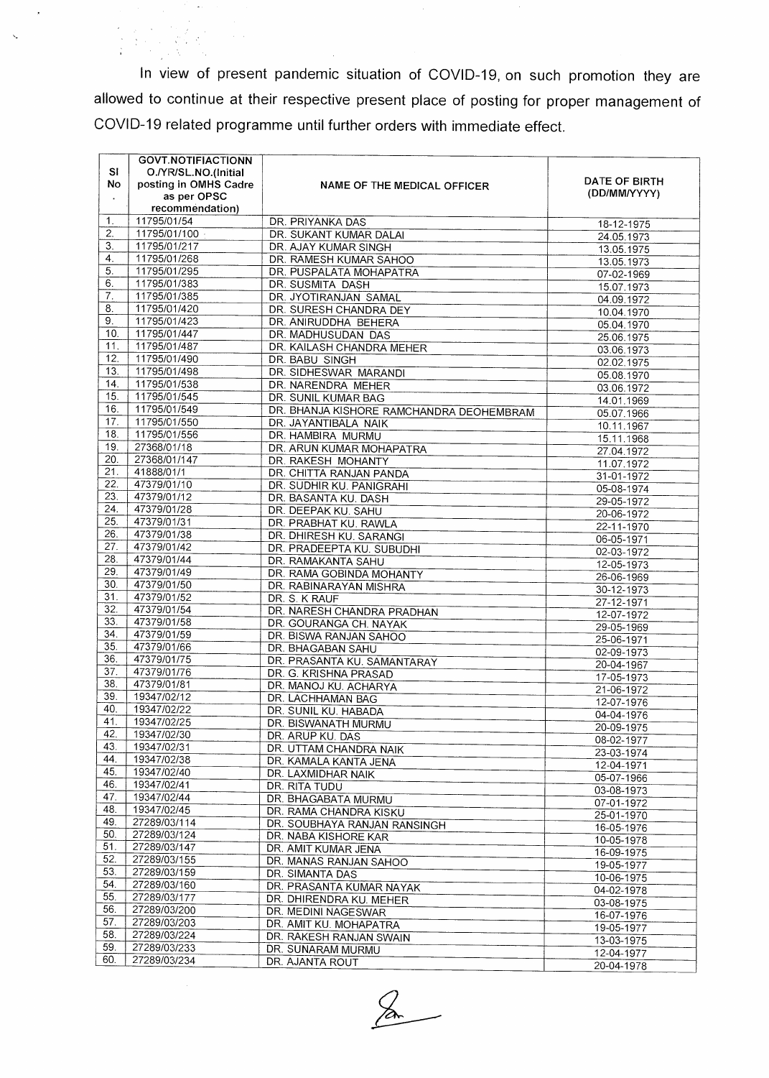In view of present pandemic situation of COVID-19, on such promotion they are allowed to continue at their respective present place of posting for proper management of COVID-19 related programme until further orders with immediate effect.

|                | <b>GOVT.NOTIFIACTIONN</b> |                                          |                          |
|----------------|---------------------------|------------------------------------------|--------------------------|
| <b>SI</b>      | O./YR/SL.NO.(Initial      |                                          |                          |
| No             | posting in OMHS Cadre     | NAME OF THE MEDICAL OFFICER              | DATE OF BIRTH            |
| $\blacksquare$ | as per OPSC               |                                          | (DD/MM/YYYY)             |
|                | recommendation)           |                                          |                          |
| 1.             | 11795/01/54               | DR. PRIYANKA DAS                         | 18-12-1975               |
| 2.             | 11795/01/100              | DR. SUKANT KUMAR DALAI                   | 24.05.1973               |
| 3.             | 11795/01/217              | DR. AJAY KUMAR SINGH                     | 13.05.1975               |
| 4.             | 11795/01/268              | DR. RAMESH KUMAR SAHOO                   | 13.05.1973               |
| 5.             | 11795/01/295              | DR. PUSPALATA MOHAPATRA                  |                          |
| 6.             | 11795/01/383              | DR. SUSMITA DASH                         | 07-02-1969               |
| 7.             | 11795/01/385              | DR. JYOTIRANJAN SAMAL                    | 15.07.1973               |
| 8.             | 11795/01/420              | DR. SURESH CHANDRA DEY                   | 04.09.1972               |
| 9.             | 11795/01/423              | DR. ANIRUDDHA BEHERA                     | 10.04.1970               |
| 10.            | 11795/01/447              | DR. MADHUSUDAN DAS                       | 05.04.1970               |
| 11.            | 11795/01/487              | DR. KAILASH CHANDRA MEHER                | 25.06.1975               |
| 12.            | 11795/01/490              | DR. BABU SINGH                           | 03.06.1973               |
| 13.            | 11795/01/498              | DR. SIDHESWAR MARANDI                    | 02.02.1975               |
| 14.            | 11795/01/538              |                                          | 05.08.1970               |
| 15.            | 11795/01/545              | DR. NARENDRA MEHER                       | 03.06.1972               |
| 16.            |                           | DR. SUNIL KUMAR BAG                      | 14.01.1969               |
| 17.            | 11795/01/549              | DR. BHANJA KISHORE RAMCHANDRA DEOHEMBRAM | 05.07.1966               |
| 18.            | 11795/01/550              | DR. JAYANTIBALA NAIK                     | 10.11.1967               |
|                | 11795/01/556              | DR. HAMBIRA MURMU                        | 15.11.1968               |
| 19.            | 27368/01/18               | DR. ARUN KUMAR MOHAPATRA                 | 27.04.1972               |
| 20.            | 27368/01/147              | DR. RAKESH MOHANTY                       | 11.07.1972               |
| 21.            | 41888/01/1                | DR. CHITTA RANJAN PANDA                  | 31-01-1972               |
| 22.            | 47379/01/10               | DR. SUDHIR KU, PANIGRAHI                 | 05-08-1974               |
| 23.            | 47379/01/12               | DR. BASANTA KU. DASH                     | 29-05-1972               |
| 24.            | 47379/01/28               | DR. DEEPAK KU. SAHU                      | 20-06-1972               |
| 25.            | 47379/01/31               | DR. PRABHAT KU. RAWLA                    | 22-11-1970               |
| 26.            | 47379/01/38               | DR. DHIRESH KU. SARANGI                  | 06-05-1971               |
| 27.            | 47379/01/42               | DR. PRADEEPTA KU. SUBUDHI                | 02-03-1972               |
| 28.            | 47379/01/44               | DR. RAMAKANTA SAHU                       | 12-05-1973               |
| 29.            | 47379/01/49               | DR. RAMA GOBINDA MOHANTY                 | 26-06-1969               |
| 30.            | 47379/01/50               | DR. RABINARAYAN MISHRA                   | 30-12-1973               |
| 31.            | 47379/01/52               | DR. S. K RAUF                            | 27-12-1971               |
| 32.            | 47379/01/54               | DR. NARESH CHANDRA PRADHAN               | 12-07-1972               |
| 33.            | 47379/01/58               | DR. GOURANGA CH. NAYAK                   | 29-05-1969               |
| 34.            | 47379/01/59               | DR. BISWA RANJAN SAHOO                   | 25-06-1971               |
| 35.            | 47379/01/66               | DR. BHAGABAN SAHU                        | 02-09-1973               |
| 36.            | 47379/01/75               | DR. PRASANTA KU. SAMANTARAY              | 20-04-1967               |
| 37.            | 47379/01/76               | DR. G. KRISHNA PRASAD                    | 17-05-1973               |
| 38.            | 47379/01/81               | DR. MANOJ KU. ACHARYA                    | 21-06-1972               |
| 39.            | 19347/02/12               | DR. LACHHAMAN BAG                        | 12-07-1976               |
| 40.            | 19347/02/22               | DR. SUNIL KU. HABADA                     | 04-04-1976               |
| 41.            | 19347/02/25               | DR. BISWANATH MURMU                      | 20-09-1975               |
| 42.            | 19347/02/30               | DR. ARUP KU. DAS                         | 08-02-1977               |
| 43.            | 19347/02/31               | DR. UTTAM CHANDRA NAIK                   | 23-03-1974               |
| 44.            | 19347/02/38               | DR. KAMALA KANTA JENA                    | 12-04-1971               |
| 45.            | 19347/02/40               | DR. LAXMIDHAR NAIK                       | 05-07-1966               |
| 46.            | 19347/02/41               | DR. RITA TUDU                            | 03-08-1973               |
| 47.            | 19347/02/44               | DR. BHAGABATA MURMU                      | 07-01-1972               |
| 48.            | 19347/02/45               | DR. RAMA CHANDRA KISKU                   | 25-01-1970               |
| 49.            | 27289/03/114              | DR. SOUBHAYA RANJAN RANSINGH             |                          |
| 50.            | 27289/03/124              | DR. NABA KISHORE KAR                     | 16-05-1976<br>10-05-1978 |
| 51.            | 27289/03/147              | DR. AMIT KUMAR JENA                      | 16-09-1975               |
| 52.            | 27289/03/155              | DR. MANAS RANJAN SAHOO                   |                          |
| 53.            | 27289/03/159              | DR. SIMANTA DAS                          | 19-05-1977               |
| 54.            | 27289/03/160              | DR. PRASANTA KUMAR NAYAK                 | 10-06-1975               |
| 55.            | 27289/03/177              | DR. DHIRENDRA KU. MEHER                  | 04-02-1978               |
| 56.            | 27289/03/200              | DR. MEDINI NAGESWAR                      | 03-08-1975               |
| 57.            | 27289/03/203              | DR. AMIT KU. MOHAPATRA                   | 16-07-1976               |
| 58.            | 27289/03/224              | DR. RAKESH RANJAN SWAIN                  | 19-05-1977               |
| 59.            | 27289/03/233              | DR. SUNARAM MURMU                        | 13-03-1975               |
| 60.            | 27289/03/234              |                                          | 12-04-1977               |
|                |                           | DR. AJANTA ROUT                          | 20-04-1978               |

 $\mathcal{G}$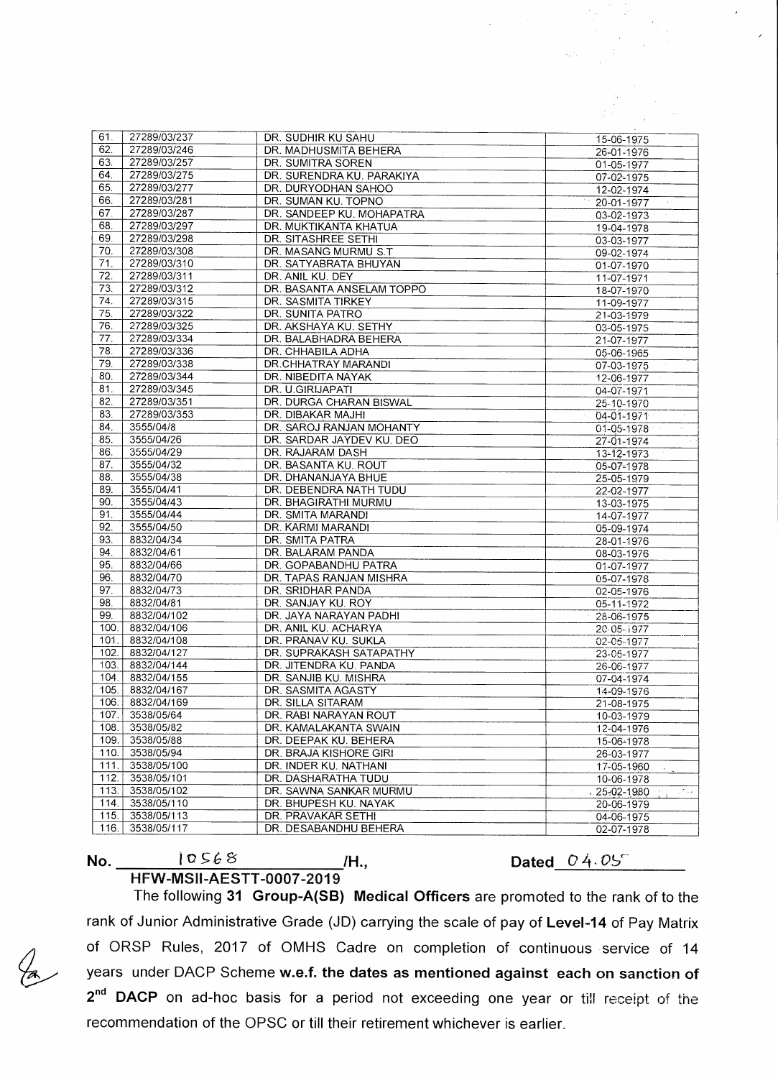|                   | 27289/03/237               |                                                   |                                                |
|-------------------|----------------------------|---------------------------------------------------|------------------------------------------------|
| 61.<br>62.        | 27289/03/246               | DR. SUDHIR KU SAHU                                | 15-06-1975                                     |
| 63.               | 27289/03/257               | DR. MADHUSMITA BEHERA                             | 26-01-1976                                     |
|                   |                            | DR. SUMITRA SOREN                                 | 01-05-1977                                     |
| 64.               | 27289/03/275               | DR. SURENDRA KU. PARAKIYA                         | 07-02-1975                                     |
| 65.               | 27289/03/277               | DR. DURYODHAN SAHOO                               | 12-02-1974                                     |
| 66.               | 27289/03/281               | DR. SUMAN KU. TOPNO                               | 20-01-1977                                     |
| 67.               | 27289/03/287               | DR. SANDEEP KU. MOHAPATRA                         | 03-02-1973                                     |
| 68.               | 27289/03/297               | DR. MUKTIKANTA KHATUA                             | 19-04-1978                                     |
| 69.               | 27289/03/298               | DR. SITASHREE SETHI                               | 03-03-1977                                     |
| 70.               | 27289/03/308               | DR. MASANG MURMU S.T                              | 09-02-1974                                     |
| 71.               | 27289/03/310               | DR. SATYABRATA BHUYAN                             | 01-07-1970                                     |
| $\overline{72}$ . | 27289/03/311               | DR. ANIL KU. DEY                                  | 11-07-1971                                     |
| 73.               | 27289/03/312               | DR. BASANTA ANSELAM TOPPO                         | 18-07-1970                                     |
| 74.               | 27289/03/315               | DR. SASMITA TIRKEY                                | 11-09-1977                                     |
| 75.               | 27289/03/322               | DR. SUNITA PATRO                                  | 21-03-1979                                     |
| 76.               | 27289/03/325               | DR. AKSHAYA KU. SETHY                             | 03-05-1975                                     |
| 77.               | 27289/03/334               | DR. BALABHADRA BEHERA                             | 21-07-1977                                     |
| 78.               | 27289/03/336               | DR. CHHABILA ADHA                                 | 05-06-1965                                     |
| 79.               | 27289/03/338               | DR.CHHATRAY MARANDI                               | 07-03-1975                                     |
| 80.               | 27289/03/344               | DR. NIBEDITA NAYAK                                | 12-06-1977                                     |
| 81.               | 27289/03/345               | DR. U.GIRIJAPATI                                  | 04-07-1971                                     |
| 82.               | 27289/03/351               | DR. DURGA CHARAN BISWAL                           | 25-10-1970                                     |
| 83.               | 27289/03/353               | DR. DIBAKAR MAJHI                                 | 04-01-1971                                     |
| 84.               | 3555/04/8                  | DR. SAROJ RANJAN MOHANTY                          | 01-05-1978<br>$\sim$                           |
| 85.               | 3555/04/26                 | DR. SARDAR JAYDEV KU. DEO                         | 27-01-1974                                     |
| 86.               | 3555/04/29                 | DR. RAJARAM DASH                                  | 13-12-1973                                     |
| 87.               | 3555/04/32                 | DR. BASANTA KU. ROUT                              | 05-07-1978                                     |
| 88.               | 3555/04/38                 | DR. DHANANJAYA BHUE                               | 25-05-1979                                     |
| 89.               | 3555/04/41                 | DR. DEBENDRA NATH TUDU                            | 22-02-1977                                     |
| 90.               | 3555/04/43                 | DR. BHAGIRATHI MURMU                              | 13-03-1975                                     |
| 91.               | 3555/04/44                 | DR. SMITA MARANDI                                 | 14-07-1977                                     |
| 92.               | 3555/04/50                 | DR. KARMI MARANDI                                 | 05-09-1974                                     |
| 93.               | 8832/04/34                 | DR. SMITA PATRA                                   | 28-01-1976                                     |
| 94.               | 8832/04/61                 | DR. BALARAM PANDA                                 | 08-03-1976                                     |
| 95.               | 8832/04/66                 | DR. GOPABANDHU PATRA                              | 01-07-1977                                     |
| 96.               | 8832/04/70                 | DR. TAPAS RANJAN MISHRA                           | 05-07-1978                                     |
| 97.               | 8832/04/73                 | DR. SRIDHAR PANDA                                 | 02-05-1976                                     |
| 98.               | 8832/04/81                 | DR. SANJAY KU. ROY                                | 05-11-1972                                     |
| 99.               | 8832/04/102                | DR. JAYA NARAYAN PADHI                            | 28-06-1975                                     |
| 100.              | 8832/04/106                | DR. ANIL KU. ACHARYA                              | 20.05-1977                                     |
| 101.<br>102.      | 8832/04/108<br>8832/04/127 | DR. PRANAV KU. SUKLA                              | 02-05-1977                                     |
|                   | 8832/04/144                | DR. SUPRAKASH SATAPATHY<br>DR. JITENDRA KU, PANDA | 23-05-1977                                     |
| 103.<br>104.      | 8832/04/155                |                                                   | 26-06-1977                                     |
| 105.              | 8832/04/167                | DR. SANJIB KU. MISHRA<br>DR. SASMITA AGASTY       | 07-04-1974                                     |
| 106.              | 8832/04/169                | DR. SILLA SITARAM                                 | 14-09-1976<br>21-08-1975                       |
| 107               | 3538/05/64                 | DR. RABI NARAYAN ROUT                             |                                                |
| 108.              | 3538/05/82                 | DR. KAMALAKANTA SWAIN                             | 10-03-1979<br>12-04-1976                       |
| 109.              | 3538/05/88                 | DR. DEEPAK KU. BEHERA                             | 15-06-1978                                     |
| 110.              | 3538/05/94                 | DR. BRAJA KISHORE GIRI                            | 26-03-1977                                     |
| 111.              | 3538/05/100                | DR. INDER KU. NATHANI                             | 17-05-1960                                     |
| 112.              | 3538/05/101                | DR. DASHARATHA TUDU                               | 10-06-1978                                     |
| 113.              | 3538/05/102                | DR. SAWNA SANKAR MURMU                            | 25-02-1980<br>$\mathbb{Z}^2 \times \mathbb{Z}$ |
| 114.              | 3538/05/110                | DR. BHUPESH KU. NAYAK                             | 20-06-1979                                     |
| 115.              | 3538/05/113                | DR. PRAVAKAR SETHI                                | 04-06-1975                                     |
| 116.              | 3538/05/117                | DR. DESABANDHU BEHERA                             | 02-07-1978                                     |
|                   |                            |                                                   |                                                |

**No. 10568** /H.,

Dated  $04.05$ <sup>\*</sup>

**HFW-MSII-AESTT-0007-2019**  The following **31 Group-A(SB) Medical Officers** are promoted to the rank of to the rank of Junior Administrative Grade (JD) carrying the scale of pay of **Level-14** of Pay Matrix of ORSP Rules, 2017 of OMHS Cadre on completion of continuous service of 14 years under DACP Scheme **w.e.f. the dates as mentioned against each on sanction of**  2<sup>nd</sup> DACP on ad-hoc basis for a period not exceeding one year or till receipt of the recommendation of the OPSC or till their retirement whichever is earlier.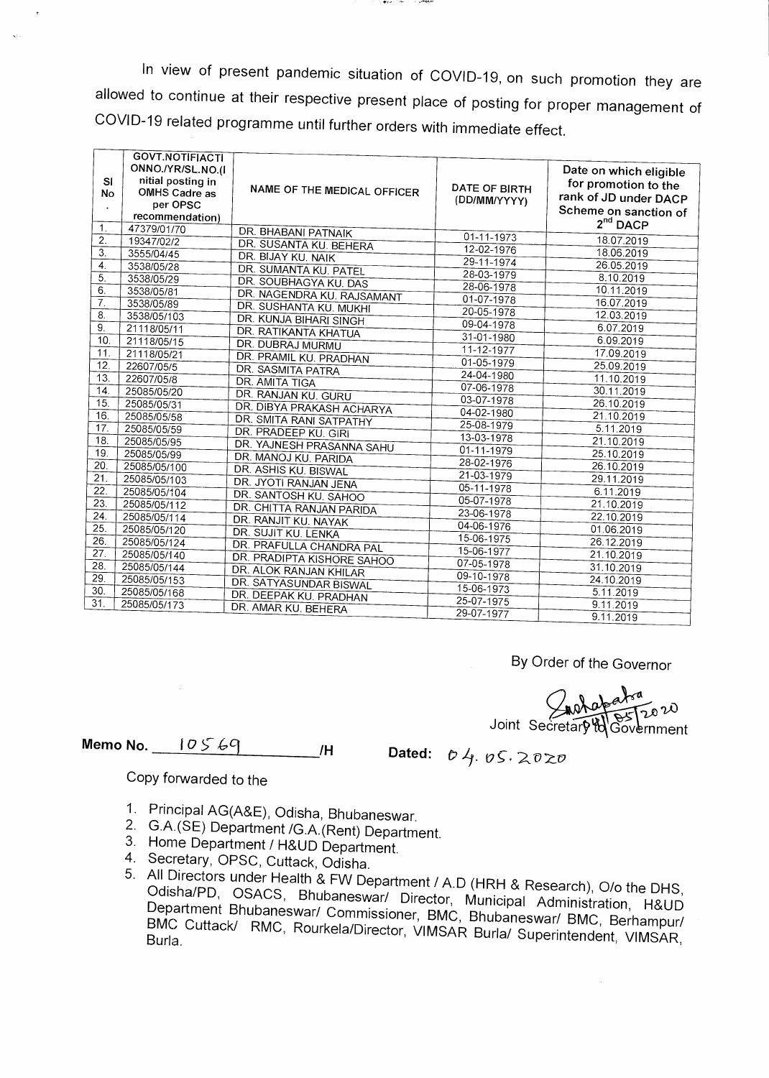In view of present pandemic situation of COVID-19, on such promotion they are allowed to continue at their respective present place of posting for proper management of COVID-19 related programme until further orders with immediate effect.

design from

|                  | <b>GOVT.NOTIFIACTI</b> |                             |                  |                        |
|------------------|------------------------|-----------------------------|------------------|------------------------|
|                  | ONNO./YR/SL.NO.(I      |                             |                  | Date on which eligible |
| <b>SI</b>        | nitial posting in      |                             |                  | for promotion to the   |
| No               | OMHS Cadre as          | NAME OF THE MEDICAL OFFICER | DATE OF BIRTH    | rank of JD under DACP  |
|                  | per OPSC               |                             | (DD/MM/YYYY)     | Scheme on sanction of  |
|                  | recommendation)        |                             |                  | 2 <sup>nd</sup> DACP   |
| 1.               | 47379/01/70            | DR. BHABANI PATNAIK         |                  |                        |
| 2.               | 19347/02/2             | DR. SUSANTA KU. BEHERA      | $01 - 11 - 1973$ | 18.07.2019             |
| $\overline{3}$ . | 3555/04/45             | DR. BIJAY KU. NAIK          | 12-02-1976       | 18.06.2019             |
| $\overline{4}$   | 3538/05/28             | DR. SUMANTA KU. PATEL       | 29-11-1974       | 26.05.2019             |
| 5.               | 3538/05/29             | DR. SOUBHAGYA KU. DAS       | 28-03-1979       | 8.10.2019              |
| 6.               | 3538/05/81             | DR. NAGENDRA KU. RAJSAMANT  | 28-06-1978       | 10.11.2019             |
| $\overline{7}$ . | 3538/05/89             | DR. SUSHANTA KU. MUKHI      | 01-07-1978       | 16.07.2019             |
| 8.               | 3538/05/103            | DR. KUNJA BIHARI SINGH      | 20-05-1978       | 12.03.2019             |
| 9.               | 21118/05/11            | <b>DR. RATIKANTA KHATUA</b> | 09-04-1978       | 6.07.2019              |
| 10 <sub>1</sub>  | 21118/05/15            | DR. DUBRAJ MURMU            | 31-01-1980       | 6.09.2019              |
| 11.              | 21118/05/21            | DR. PRAMIL KU. PRADHAN      | $11 - 12 - 1977$ | 17.09.2019             |
| 12.              | 22607/05/5             | DR. SASMITA PATRA           | 01-05-1979       | 25.09.2019             |
| 13.              | 22607/05/8             | <b>DR. AMITA TIGA</b>       | $24 - 04 - 1980$ | 11.10.2019             |
| 14.              | 25085/05/20            | DR. RANJAN KU. GURU         | 07-06-1978       | 30.11.2019             |
| 15.              | 25085/05/31            | DR. DIBYA PRAKASH ACHARYA   | 03-07-1978       | 26.10.2019             |
| 16.              | 25085/05/58            | DR. SMITA RANI SATPATHY     | 04-02-1980       | 21.10.2019             |
| 17.              | 25085/05/59            | DR. PRADEEP KU. GIRI        | 25-08-1979       | 5.11,2019              |
| 18.              | 25085/05/95            |                             | 13-03-1978       | 21.10.2019             |
| 19.              | 25085/05/99            | DR. YAJNESH PRASANNA SAHU   | 01-11-1979       | 25.10.2019             |
| 20.              | 25085/05/100           | DR. MANOJ KU. PARIDA        | 28-02-1976       | 26.10.2019             |
| 21.              | 25085/05/103           | DR. ASHIS KU. BISWAL        | 21-03-1979       | 29.11.2019             |
| 22.              | 25085/05/104           | DR. JYOTI RANJAN JENA       | $05 - 11 - 1978$ | 6.11.2019              |
| 23.              | 25085/05/112           | DR. SANTOSH KU. SAHOO       | 05-07-1978       | 21.10.2019             |
| 24.              | 25085/05/114           | DR. CHITTA RANJAN PARIDA    | 23-06-1978       | 22.10.2019             |
| 25.              | 25085/05/120           | DR. RANJIT KU. NAYAK        | 04-06-1976       | 01.06.2019             |
| 26.              | 25085/05/124           | DR. SUJIT KU. LENKA         | 15-06-1975       | 26.12.2019             |
| 27.              | 25085/05/140           | DR. PRAFULLA CHANDRA PAL    | 15-06-1977       | 21.10.2019             |
| 28.              | 25085/05/144           | DR. PRADIPTA KISHORE SAHOO  | 07-05-1978       | 31.10.2019             |
| 29.              | 25085/05/153           | DR. ALOK RANJAN KHILAR      | 09-10-1978       | 24.10.2019             |
| 30.              | 25085/05/168           | DR. SATYASUNDAR BISWAL      | $15 - 06 - 1973$ | 5.11.2019              |
| 31.              | 25085/05/173           | DR. DEEPAK KU. PRADHAN      | 25-07-1975       | 9.11.2019              |
|                  |                        | DR. AMAR KU. BEHERA         | 29-07-1977       | 9.11.2019              |
|                  |                        |                             |                  |                        |

By Order of the Governor

Joint Secretary to Governmen rnment

**Memo No.** <u>**10569** *I*H Dated: *b 4*. *v*S. 2020</u>

## Copy forwarded to the

- 1. Principal AG(A&E), Odisha, Bhubaneswar.
- 2. G.A.(SE) Department /G.A.(Rent) Department.
- 3. Home Department / H&UD Department.
- 4. Secretary, OPSC, Cuttack, Odisha.
- 5. All Directors under Health & FW Department / A.D (HRH & Research), 0/o the DHS, Odisha/PD, OSACS, Bhubaneswar/ Director, Municipal Administration, H&UD Department Bhubaneswar/ Commissioner, BMC, Bhubaneswar/ BMC, Berhampur/ BMC Cuttack/ RMC, Rourkela/Director, VIMSAR Burla/ Superintendent, VIMSAR,